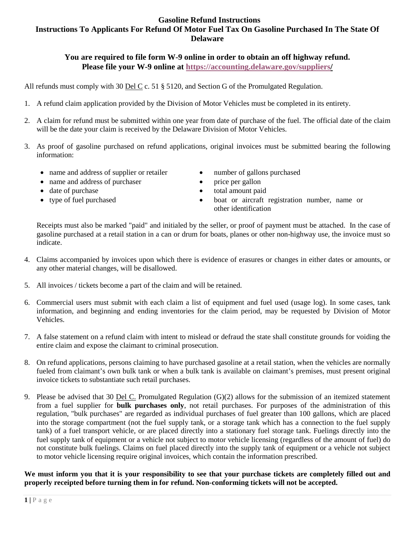# **Gasoline Refund Instructions Instructions To Applicants For Refund Of Motor Fuel Tax On Gasoline Purchased In The State Of Delaware**

## **You are required to file form W-9 online in order to obtain an off highway refund. Please file your W-9 online at [https://accounting.delaware.gov/suppliers/](https://accounting.delaware.gov/suppliers)**

All refunds must comply with 30 Del C c. 51 § 5120, and Section G of the Promulgated Regulation.

- 1. A refund claim application provided by the Division of Motor Vehicles must be completed in its entirety.
- 2. A claim for refund must be submitted within one year from date of purchase of the fuel. The official date of the claim will be the date your claim is received by the Delaware Division of Motor Vehicles.
- 3. As proof of gasoline purchased on refund applications, original invoices must be submitted bearing the following information:
	- name and address of supplier or retailer number of gallons purchased
	- name and address of purchaser price per gallon
	-
	-
- 
- 
- date of purchase total amount paid
- type of fuel purchased boat or aircraft registration number, name or other identification

Receipts must also be marked "paid" and initialed by the seller, or proof of payment must be attached. In the case of gasoline purchased at a retail station in a can or drum for boats, planes or other non-highway use, the invoice must so indicate.

- 4. Claims accompanied by invoices upon which there is evidence of erasures or changes in either dates or amounts, or any other material changes, will be disallowed.
- 5. All invoices / tickets become a part of the claim and will be retained.
- 6. Commercial users must submit with each claim a list of equipment and fuel used (usage log). In some cases, tank information, and beginning and ending inventories for the claim period, may be requested by Division of Motor Vehicles.
- 7. A false statement on a refund claim with intent to mislead or defraud the state shall constitute grounds for voiding the entire claim and expose the claimant to criminal prosecution.
- 8. On refund applications, persons claiming to have purchased gasoline at a retail station, when the vehicles are normally fueled from claimant's own bulk tank or when a bulk tank is available on claimant's premises, must present original invoice tickets to substantiate such retail purchases.
- 9. Please be advised that 30 Del C. Promulgated Regulation (G)(2) allows for the submission of an itemized statement from a fuel supplier for **bulk purchases only**, not retail purchases. For purposes of the administration of this regulation, "bulk purchases" are regarded as individual purchases of fuel greater than 100 gallons, which are placed into the storage compartment (not the fuel supply tank, or a storage tank which has a connection to the fuel supply tank) of a fuel transport vehicle, or are placed directly into a stationary fuel storage tank. Fuelings directly into the fuel supply tank of equipment or a vehicle not subject to motor vehicle licensing (regardless of the amount of fuel) do not constitute bulk fuelings. Claims on fuel placed directly into the supply tank of equipment or a vehicle not subject to motor vehicle licensing require original invoices, which contain the information prescribed.

**We must inform you that it is your responsibility to see that your purchase tickets are completely filled out and properly receipted before turning them in for refund. Non-conforming tickets will not be accepted.**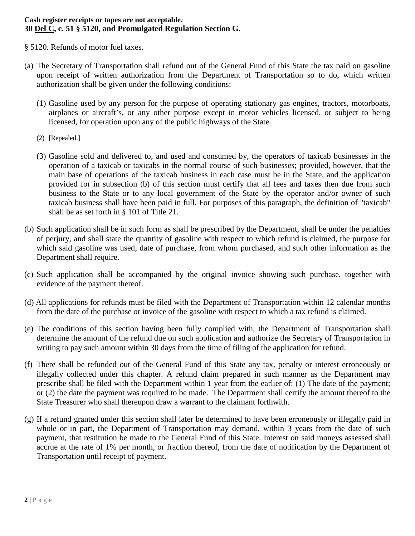### **Cash register receipts or tapes are not acceptable. 30 Del C, c. 51 § 5120, and Promulgated Regulation Section G.**

§ 5120. Refunds of motor fuel taxes.

- (a) The Secretary of Transportation shall refund out of the General Fund of this State the tax paid on gasoline upon receipt of written authorization from the Department of Transportation so to do, which written authorization shall be given under the following conditions:
	- (1) Gasoline used by any person for the purpose of operating stationary gas engines, tractors, motorboats, airplanes or aircraft's, or any other purpose except in motor vehicles licensed, or subject to being licensed, for operation upon any of the public highways of the State.
	- (2) [Repealed.]
	- (3) Gasoline sold and delivered to, and used and consumed by, the operators of taxicab businesses in the operation of a taxicab or taxicabs in the normal course of such businesses; provided, however, that the main base of operations of the taxicab business in each case must be in the State, and the application provided for in subsection (b) of this section must certify that all fees and taxes then due from such business to the State or to any local government of the State by the operator and/or owner of such taxicab business shall have been paid in full. For purposes of this paragraph, the definition of "taxicab" shall be as set forth in § 101 of Title 21.
- (b) Such application shall be in such form as shall be prescribed by the Department, shall be under the penalties of perjury, and shall state the quantity of gasoline with respect to which refund is claimed, the purpose for which said gasoline was used, date of purchase, from whom purchased, and such other information as the Department shall require.
- (c) Such application shall be accompanied by the original invoice showing such purchase, together with evidence of the payment thereof.
- (d) All applications for refunds must be filed with the Department of Transportation within 12 calendar months from the date of the purchase or invoice of the gasoline with respect to which a tax refund is claimed.
- (e) The conditions of this section having been fully complied with, the Department of Transportation shall determine the amount of the refund due on such application and authorize the Secretary of Transportation in writing to pay such amount within 30 days from the time of filing of the application for refund.
- (f) There shall be refunded out of the General Fund of this State any tax, penalty or interest erroneously or illegally collected under this chapter. A refund claim prepared in such manner as the Department may prescribe shall be filed with the Department within 1 year from the earlier of: (1) The date of the payment; or (2) the date the payment was required to be made. The Department shall certify the amount thereof to the State Treasurer who shall thereupon draw a warrant to the claimant forthwith.
- (g) If a refund granted under this section shall later be determined to have been erroneously or illegally paid in whole or in part, the Department of Transportation may demand, within 3 years from the date of such payment, that restitution be made to the General Fund of this State. Interest on said moneys assessed shall accrue at the rate of 1% per month, or fraction thereof, from the date of notification by the Department of Transportation until receipt of payment.